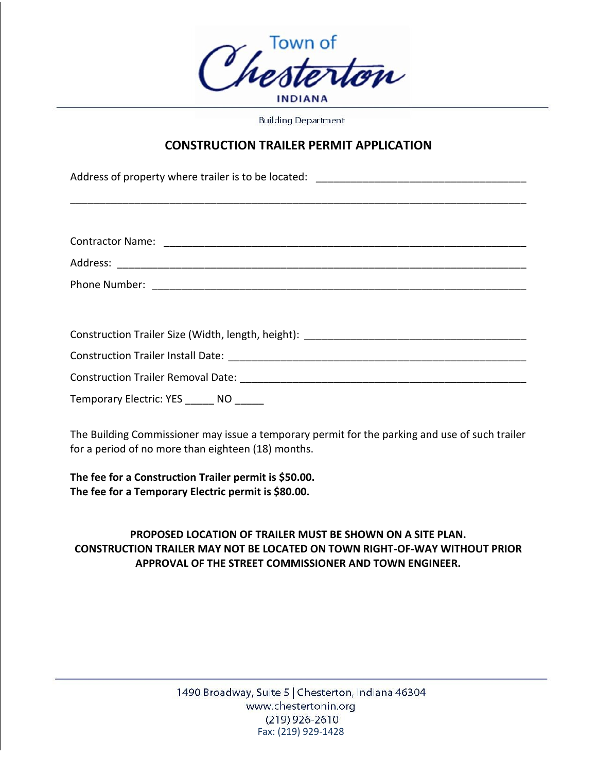

**Building Department** 

## **CONSTRUCTION TRAILER PERMIT APPLICATION**

\_\_\_\_\_\_\_\_\_\_\_\_\_\_\_\_\_\_\_\_\_\_\_\_\_\_\_\_\_\_\_\_\_\_\_\_\_\_\_\_\_\_\_\_\_\_\_\_\_\_\_\_\_\_\_\_\_\_\_\_\_\_\_\_\_\_\_\_\_\_\_\_\_\_\_\_\_\_

Address of property where trailer is to be located: \_\_\_\_\_\_\_\_\_\_\_\_\_\_\_\_\_\_\_\_\_\_\_\_\_\_\_\_\_\_\_\_\_\_\_\_

| <b>Contractor Name:</b> |  |  |
|-------------------------|--|--|
| Address:                |  |  |

Phone Number: \_\_\_\_\_\_\_\_\_\_\_\_\_\_\_\_\_\_\_\_\_\_\_\_\_\_\_\_\_\_\_\_\_\_\_\_\_\_\_\_\_\_\_\_\_\_\_\_\_\_\_\_\_\_\_\_\_\_\_\_\_\_\_\_

Construction Trailer Size (Width, length, height): \_\_\_\_\_\_\_\_\_\_\_\_\_\_\_\_\_\_\_\_\_\_\_\_\_\_\_\_\_\_\_\_\_\_\_\_\_\_

Construction Trailer Install Date: \_\_\_\_\_\_\_\_\_\_\_\_\_\_\_\_\_\_\_\_\_\_\_\_\_\_\_\_\_\_\_\_\_\_\_\_\_\_\_\_\_\_\_\_\_\_\_\_\_\_\_

Construction Trailer Removal Date: \_\_\_\_\_\_\_\_\_\_\_\_\_\_\_\_\_\_\_\_\_\_\_\_\_\_\_\_\_\_\_\_\_\_\_\_\_\_\_\_\_\_\_\_\_\_\_\_\_

Temporary Electric: YES \_\_\_\_\_ NO

The Building Commissioner may issue a temporary permit for the parking and use of such trailer for a period of no more than eighteen (18) months.

**The fee for a Construction Trailer permit is \$50.00. The fee for a Temporary Electric permit is \$80.00.**

## **PROPOSED LOCATION OF TRAILER MUST BE SHOWN ON A SITE PLAN. CONSTRUCTION TRAILER MAY NOT BE LOCATED ON TOWN RIGHT-OF-WAY WITHOUT PRIOR APPROVAL OF THE STREET COMMISSIONER AND TOWN ENGINEER.**